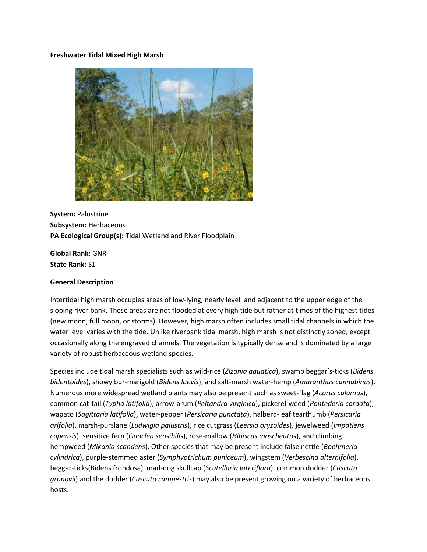### **Freshwater Tidal Mixed High Marsh**



**System:** Palustrine **Subsystem:** Herbaceous **PA Ecological Group(s):** Tidal Wetland and River Floodplain

**Global Rank:** GNR **State Rank:** S1

## **General Description**

Intertidal high marsh occupies areas of low-lying, nearly level land adjacent to the upper edge of the sloping river bank. These areas are not flooded at every high tide but rather at times of the highest tides (new moon, full moon, or storms). However, high marsh often includes small tidal channels in which the water level varies with the tide. Unlike riverbank tidal marsh, high marsh is not distinctly zoned, except occasionally along the engraved channels. The vegetation is typically dense and is dominated by a large variety of robust herbaceous wetland species.

Species include tidal marsh specialists such as wild-rice (*Zizania aquatica*), swamp beggar's-ticks (*Bidens bidentoides*), showy bur-marigold (*Bidens laevis*), and salt-marsh water-hemp (*Amaranthus cannabinus*). Numerous more widespread wetland plants may also be present such as sweet-flag (*Acorus calamus*), common cat-tail (*Typha latifolia*), arrow-arum (*Peltandra virginica*), pickerel-weed (*Pontederia cordata*), wapato (*Sagittaria latifolia*), water-pepper (*Persicaria punctata*), halberd-leaf tearthumb (*Persicaria arifolia*), marsh-purslane (*Ludwigia palustris*), rice cutgrass (*Leersia oryzoides*), jewelweed (*Impatiens capensis*), sensitive fern (*Onoclea sensibilis*), rose-mallow (*Hibiscus moscheutos*), and climbing hempweed (*Mikania scandens*). Other species that may be present include false nettle (*Boehmeria cylindrica*), purple-stemmed aster (*Symphyotrichum puniceum*), wingstem (*Verbescina alternifolia*), beggar-ticks(Bidens frondosa), mad-dog skullcap (*Scutellaria lateriflora*), common dodder (*Cuscuta gronovii*) and the dodder (*Cuscuta campestris*) may also be present growing on a variety of herbaceous hosts.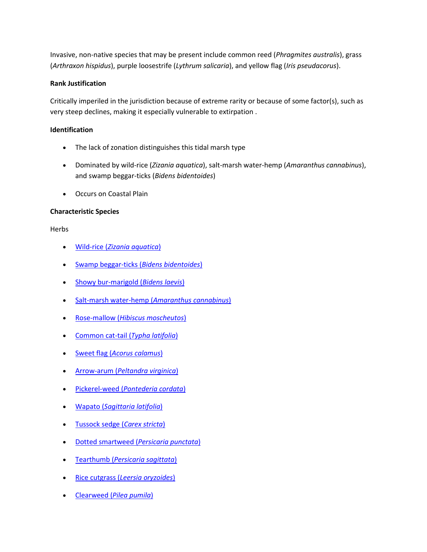Invasive, non-native species that may be present include common reed (*Phragmites australis*), grass (*Arthraxon hispidus*), purple loosestrife (*Lythrum salicaria*), and yellow flag (*Iris pseudacorus*).

# **Rank Justification**

Critically imperiled in the jurisdiction because of extreme rarity or because of some factor(s), such as very steep declines, making it especially vulnerable to extirpation .

# **Identification**

- The lack of zonation distinguishes this tidal marsh type
- Dominated by wild-rice (*Zizania aquatica*), salt-marsh water-hemp (*Amaranthus cannabinus*), and swamp beggar-ticks (*Bidens bidentoides*)
- Occurs on Coastal Plain

# **Characteristic Species**

Herbs

- Wild-rice (*[Zizania aquatica](http://www.natureserve.org/explorer/servlet/NatureServe?searchName=Zizania+aquatica)*)
- [Swamp beggar-ticks \(](http://www.natureserve.org/explorer/servlet/NatureServe?searchName=Bidens+bidentoides)*Bidens bidentoides*)
- [Showy bur-marigold \(](http://www.natureserve.org/explorer/servlet/NatureServe?searchName=Bidens+laevis)*Bidens laevis*)
- [Salt-marsh water-hemp \(](http://www.natureserve.org/explorer/servlet/NatureServe?searchName=Amaranthus+cannabinus)*Amaranthus cannabinus*)
- Rose-mallow (*[Hibiscus moscheutos](http://www.natureserve.org/explorer/servlet/NatureServe?searchName=Hibiscus+moscheutos)*)
- [Common cat-tail \(](http://www.natureserve.org/explorer/servlet/NatureServe?searchName=Typha+latifolia)*Typha latifolia*)
- Sweet flag (*[Acorus calamus](http://www.natureserve.org/explorer/servlet/NatureServe?searchName=Acorus+calamus)*)
- Arrow-arum (*[Peltandra virginica](http://www.natureserve.org/explorer/servlet/NatureServe?searchName=Peltandra+virginica)*)
- Pickerel-weed (*[Pontederia cordata](http://www.natureserve.org/explorer/servlet/NatureServe?searchName=Pontederia+cordata)*)
- Wapato (*[Sagittaria latifolia](http://www.natureserve.org/explorer/servlet/NatureServe?searchName=Sagittaria+latifolia)*)
- [Tussock sedge \(](http://www.natureserve.org/explorer/servlet/NatureServe?searchName=Carex+stricta)*Carex stricta*)
- [Dotted smartweed \(](http://www.natureserve.org/explorer/servlet/NatureServe?searchName=Polygonum+punctatum%20%20)*Persicaria punctata*)
- Tearthumb (*[Persicaria sagittata](http://www.natureserve.org/explorer/servlet/NatureServe?searchName=Polygonum+sagittatum%20)*)
- Rice cutgrass (*[Leersia oryzoides](http://www.natureserve.org/explorer/servlet/NatureServe?searchName=Leersia+oryzoides)*)
- Clearweed (*[Pilea pumila](http://www.natureserve.org/explorer/servlet/NatureServe?searchName=Pilea+pumila)*)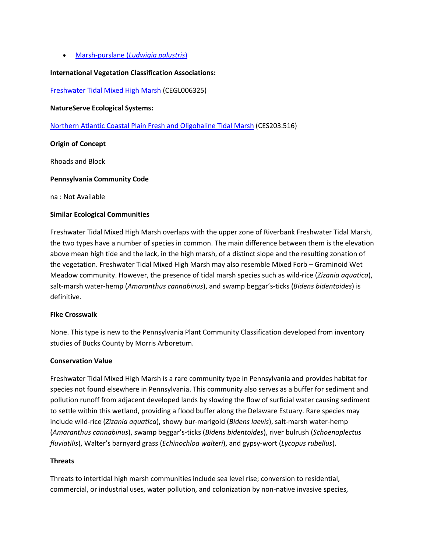Marsh-purslane (*[Ludwigia palustris](http://www.natureserve.org/explorer/servlet/NatureServe?searchName=Ludwigia+palustris)*)

## **International Vegetation Classification Associations:**

[Freshwater Tidal Mixed High Marsh](http://www.natureserve.org/explorer/servlet/NatureServe?searchCommunityUid=ELEMENT_GLOBAL.2.689421) (CEGL006325)

#### **NatureServe Ecological Systems:**

[Northern Atlantic Coastal Plain Fresh and Oligohaline Tidal Marsh](http://www.natureserve.org/explorer/servlet/NatureServe?searchSystemUid=ELEMENT_GLOBAL.2.723075) (CES203.516)

### **Origin of Concept**

Rhoads and Block

#### **Pennsylvania Community Code**

na : Not Available

### **Similar Ecological Communities**

Freshwater Tidal Mixed High Marsh overlaps with the upper zone of Riverbank Freshwater Tidal Marsh, the two types have a number of species in common. The main difference between them is the elevation above mean high tide and the lack, in the high marsh, of a distinct slope and the resulting zonation of the vegetation. Freshwater Tidal Mixed High Marsh may also resemble Mixed Forb – Graminoid Wet Meadow community. However, the presence of tidal marsh species such as wild-rice (*Zizania aquatica*), salt-marsh water-hemp (*Amaranthus cannabinus*), and swamp beggar's-ticks (*Bidens bidentoides*) is definitive.

#### **Fike Crosswalk**

None. This type is new to the Pennsylvania Plant Community Classification developed from inventory studies of Bucks County by Morris Arboretum.

#### **Conservation Value**

Freshwater Tidal Mixed High Marsh is a rare community type in Pennsylvania and provides habitat for species not found elsewhere in Pennsylvania. This community also serves as a buffer for sediment and pollution runoff from adjacent developed lands by slowing the flow of surficial water causing sediment to settle within this wetland, providing a flood buffer along the Delaware Estuary. Rare species may include wild-rice (*Zizania aquatica*), showy bur-marigold (*Bidens laevis*), salt-marsh water-hemp (*Amaranthus cannabinus*), swamp beggar's-ticks (*Bidens bidentoides*), river bulrush (*Schoenoplectus fluviatilis*), Walter's barnyard grass (*Echinochloa walteri*), and gypsy-wort (*Lycopus rubellus*).

#### **Threats**

Threats to intertidal high marsh communities include sea level rise; conversion to residential, commercial, or industrial uses, water pollution, and colonization by non-native invasive species,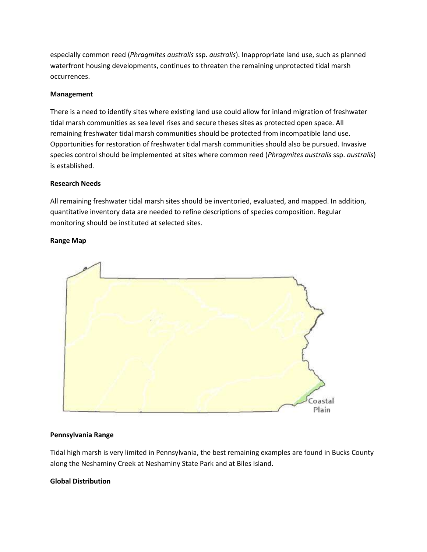especially common reed (*Phragmites australis* ssp. *australis*). Inappropriate land use, such as planned waterfront housing developments, continues to threaten the remaining unprotected tidal marsh occurrences.

# **Management**

There is a need to identify sites where existing land use could allow for inland migration of freshwater tidal marsh communities as sea level rises and secure theses sites as protected open space. All remaining freshwater tidal marsh communities should be protected from incompatible land use. Opportunities for restoration of freshwater tidal marsh communities should also be pursued. Invasive species control should be implemented at sites where common reed (*Phragmites australis* ssp. *australis*) is established.

# **Research Needs**

All remaining freshwater tidal marsh sites should be inventoried, evaluated, and mapped. In addition, quantitative inventory data are needed to refine descriptions of species composition. Regular monitoring should be instituted at selected sites.

## **Range Map**



## **Pennsylvania Range**

Tidal high marsh is very limited in Pennsylvania, the best remaining examples are found in Bucks County along the Neshaminy Creek at Neshaminy State Park and at Biles Island.

## **Global Distribution**